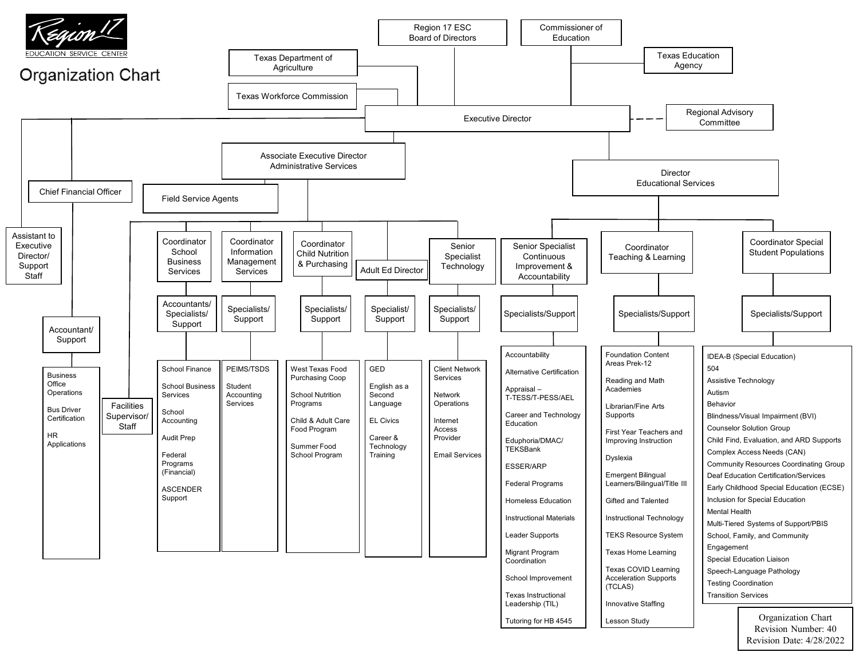

Revision Number: 40 Revision Date: 4/28/2022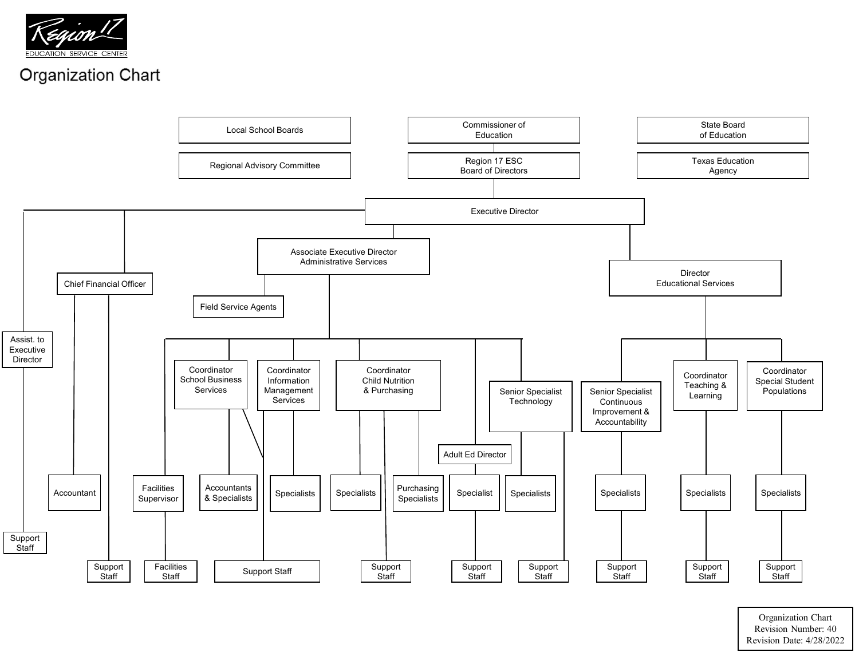



Organization Chart Revision Number: 40 Revision Date: 4/28/2022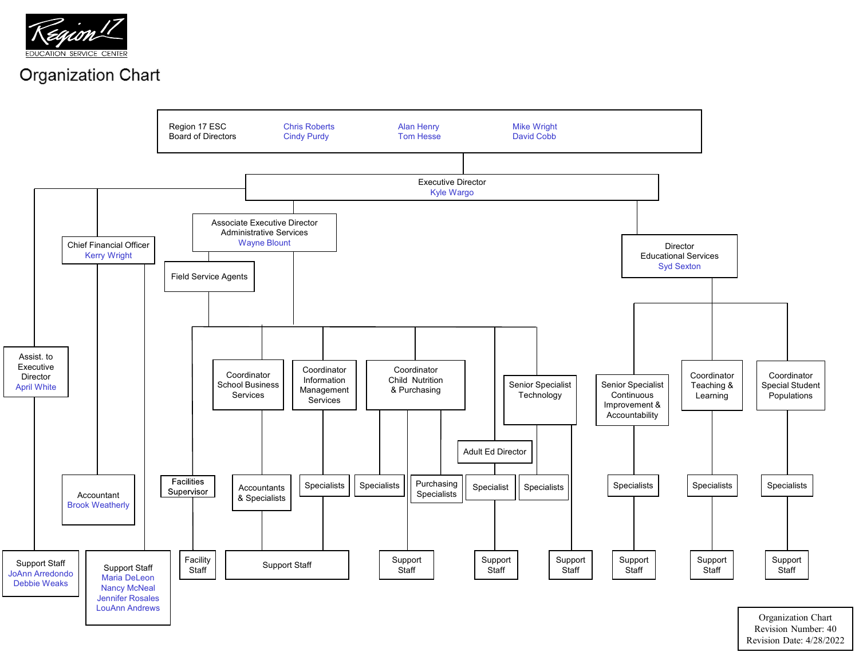![](_page_2_Picture_0.jpeg)

![](_page_2_Figure_2.jpeg)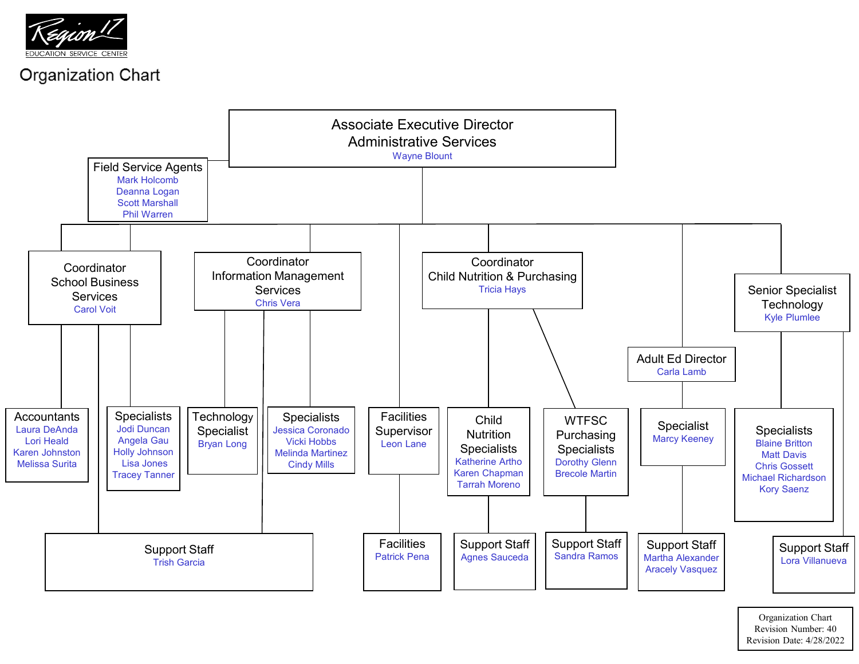![](_page_3_Picture_0.jpeg)

![](_page_3_Figure_2.jpeg)

Organization Chart Revision Number: 40 Revision Date: 4/28/2022